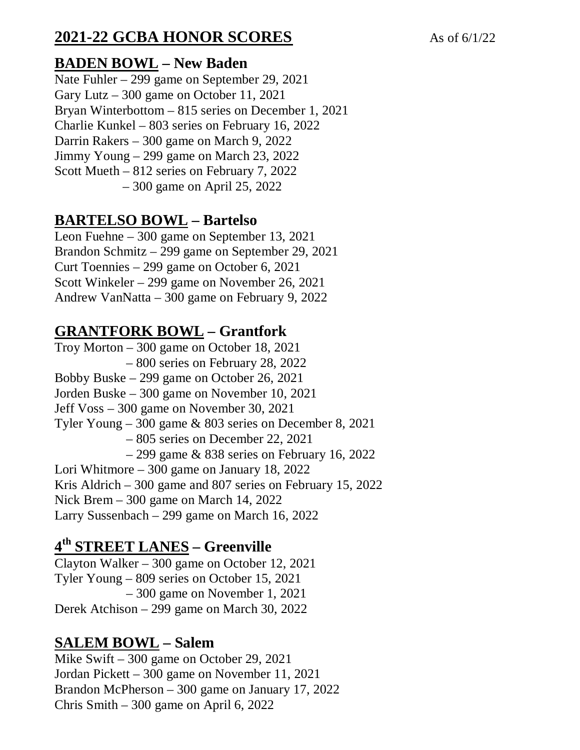# **2021-22 GCBA HONOR SCORES** As of 6/1/22

#### **BADEN BOWL – New Baden**

Nate Fuhler – 299 game on September 29, 2021 Gary Lutz – 300 game on October 11, 2021 Bryan Winterbottom – 815 series on December 1, 2021 Charlie Kunkel – 803 series on February 16, 2022 Darrin Rakers – 300 game on March 9, 2022 Jimmy Young – 299 game on March 23, 2022 Scott Mueth – 812 series on February 7, 2022 – 300 game on April 25, 2022

#### **BARTELSO BOWL – Bartelso**

Leon Fuehne – 300 game on September 13, 2021 Brandon Schmitz – 299 game on September 29, 2021 Curt Toennies – 299 game on October 6, 2021 Scott Winkeler – 299 game on November 26, 2021 Andrew VanNatta – 300 game on February 9, 2022

## **GRANTFORK BOWL – Grantfork**

Troy Morton – 300 game on October 18, 2021 – 800 series on February 28, 2022 Bobby Buske – 299 game on October 26, 2021 Jorden Buske – 300 game on November 10, 2021 Jeff Voss – 300 game on November 30, 2021 Tyler Young – 300 game & 803 series on December 8, 2021 – 805 series on December 22, 2021 – 299 game & 838 series on February 16, 2022 Lori Whitmore – 300 game on January 18, 2022 Kris Aldrich – 300 game and 807 series on February 15, 2022 Nick Brem – 300 game on March 14, 2022 Larry Sussenbach – 299 game on March 16, 2022

## **4 th STREET LANES – Greenville**

Clayton Walker – 300 game on October 12, 2021 Tyler Young – 809 series on October 15, 2021 – 300 game on November 1, 2021 Derek Atchison – 299 game on March 30, 2022

## **SALEM BOWL – Salem**

Mike Swift – 300 game on October 29, 2021 Jordan Pickett – 300 game on November 11, 2021 Brandon McPherson – 300 game on January 17, 2022 Chris Smith – 300 game on April 6, 2022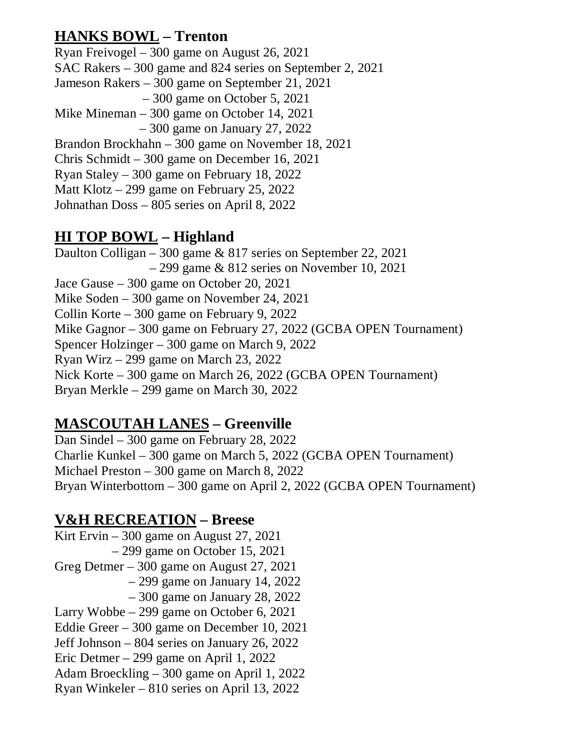## **HANKS BOWL – Trenton**

Ryan Freivogel – 300 game on August 26, 2021 SAC Rakers – 300 game and 824 series on September 2, 2021 Jameson Rakers – 300 game on September 21, 2021 – 300 game on October 5, 2021 Mike Mineman – 300 game on October 14, 2021 – 300 game on January 27, 2022 Brandon Brockhahn – 300 game on November 18, 2021 Chris Schmidt – 300 game on December 16, 2021 Ryan Staley – 300 game on February 18, 2022 Matt Klotz – 299 game on February 25, 2022 Johnathan Doss – 805 series on April 8, 2022

#### **HI TOP BOWL – Highland**

Daulton Colligan – 300 game & 817 series on September 22, 2021  $-299$  game & 812 series on November 10, 2021 Jace Gause – 300 game on October 20, 2021 Mike Soden – 300 game on November 24, 2021 Collin Korte – 300 game on February 9, 2022 Mike Gagnor – 300 game on February 27, 2022 (GCBA OPEN Tournament) Spencer Holzinger – 300 game on March 9, 2022 Ryan Wirz – 299 game on March 23, 2022 Nick Korte – 300 game on March 26, 2022 (GCBA OPEN Tournament) Bryan Merkle – 299 game on March 30, 2022

## **MASCOUTAH LANES – Greenville**

Dan Sindel – 300 game on February 28, 2022 Charlie Kunkel – 300 game on March 5, 2022 (GCBA OPEN Tournament) Michael Preston – 300 game on March 8, 2022 Bryan Winterbottom – 300 game on April 2, 2022 (GCBA OPEN Tournament)

#### **V&H RECREATION – Breese**

Kirt Ervin – 300 game on August 27, 2021 – 299 game on October 15, 2021 Greg Detmer – 300 game on August 27, 2021 – 299 game on January 14, 2022 – 300 game on January 28, 2022 Larry Wobbe – 299 game on October 6, 2021 Eddie Greer – 300 game on December 10, 2021 Jeff Johnson – 804 series on January 26, 2022 Eric Detmer – 299 game on April 1, 2022 Adam Broeckling – 300 game on April 1, 2022 Ryan Winkeler – 810 series on April 13, 2022